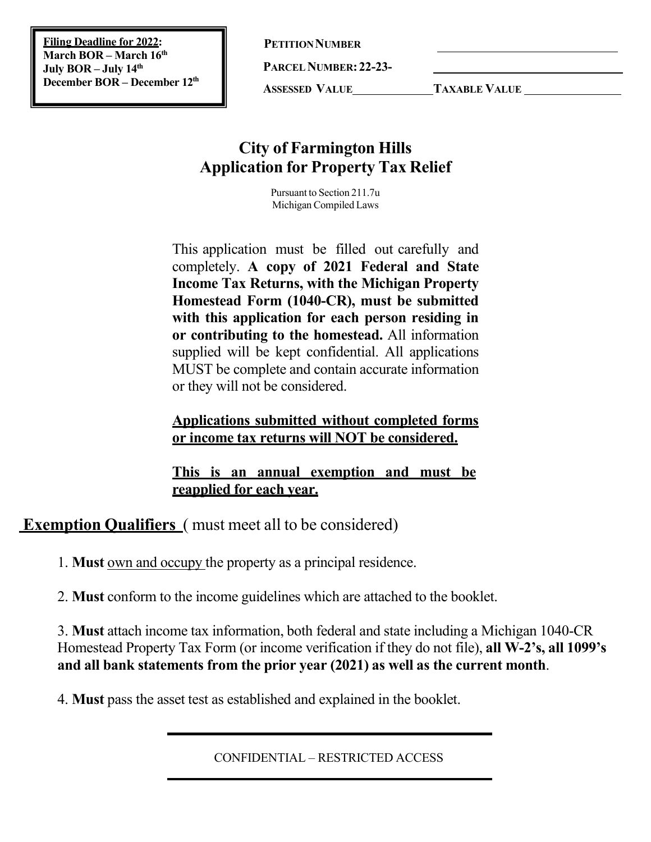**Filing Deadline for 2022: March BOR – March 16th July BOR – July 14th December BOR – December 12th** **PETITION NUMBER** 

**PARCELNUMBER:22-23-**

**ASSESSED VALUE TAXABLE VALUE**

# **City of Farmington Hills Application for Property Tax Relief**

Pursuant to Section 211.7u Michigan Compiled Laws

This application must be filled out carefully and completely. **A copy of 2021 Federal and State Income Tax Returns, with the Michigan Property Homestead Form (1040-CR), must be submitted with this application for each person residing in or contributing to the homestead.** All information supplied will be kept confidential. All applications MUST be complete and contain accurate information or they will not be considered.

## **Applications submitted without completed forms or income tax returns will NOT be considered.**

**This is an annual exemption and must be reapplied for each year.**

**Exemption Qualifiers** ( must meet all to be considered)

1. **Must** own and occupy the property as a principal residence.

2. **Must** conform to the income guidelines which are attached to the booklet.

3. **Must** attach income tax information, both federal and state including a Michigan 1040-CR Homestead Property Tax Form (or income verification if they do not file), **all W-2's, all 1099's and all bank statements from the prior year (2021) as well as the current month**.

4. **Must** pass the asset test as established and explained in the booklet.

CONFIDENTIAL – RESTRICTED ACCESS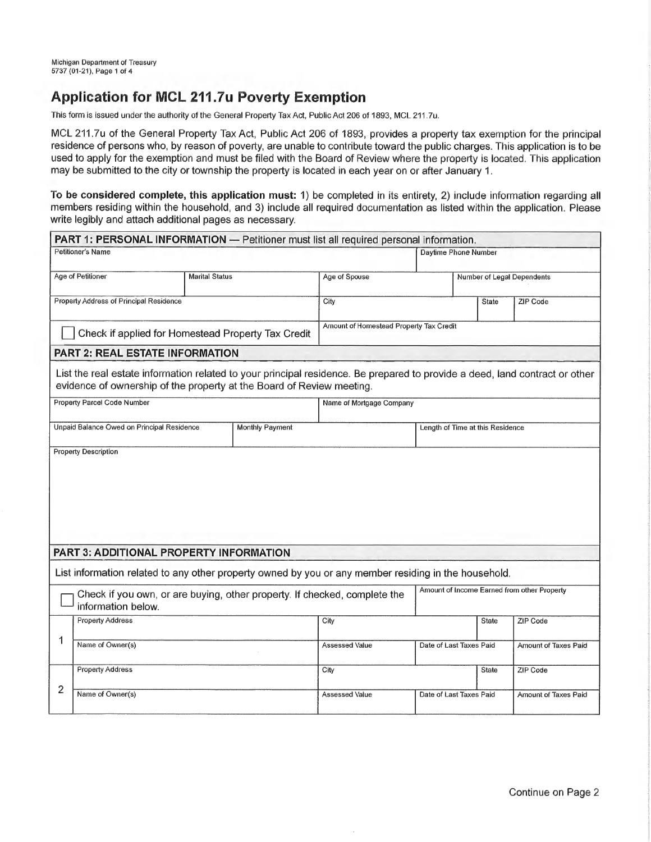## **Application for MCL 211.7u Poverty Exemption**

This form is issued under the authority of the General Property Tax Act, Public Act 206 of 1893, MCL 211.7u.

MCL 211.7u of the General Property Tax Act, Public Act 206 of 1893, provides a property tax exemption for the principal residence of persons who, by reason of poverty, are unable to contribute toward the public charges. This application is to be used to apply for the exemption and must be filed with the Board of Review where the property is located. This application may be submitted to the city or township the property is located in each year on or after January 1.

To be considered complete, this application must: 1) be completed in its entirety, 2) include information regarding all members residing within the household, and 3) include all required documentation as listed within the application. Please write legibly and attach additional pages as necessary.

| PART 1: PERSONAL INFORMATION - Petitioner must list all required personal information.                                                                                                               |                                                  |                                  |              |                      |                            |  |  |
|------------------------------------------------------------------------------------------------------------------------------------------------------------------------------------------------------|--------------------------------------------------|----------------------------------|--------------|----------------------|----------------------------|--|--|
| Petitioner's Name                                                                                                                                                                                    |                                                  |                                  |              |                      |                            |  |  |
| Age of Petitioner                                                                                                                                                                                    | <b>Marital Status</b>                            |                                  |              |                      | Number of Legal Dependents |  |  |
| Property Address of Principal Residence                                                                                                                                                              | City                                             |                                  | State        | ZIP Code             |                            |  |  |
| Check if applied for Homestead Property Tax Credit                                                                                                                                                   | Amount of Homestead Property Tax Credit          |                                  |              |                      |                            |  |  |
| <b>PART 2: REAL ESTATE INFORMATION</b>                                                                                                                                                               |                                                  |                                  |              |                      |                            |  |  |
| List the real estate information related to your principal residence. Be prepared to provide a deed, land contract or other<br>evidence of ownership of the property at the Board of Review meeting. |                                                  |                                  |              |                      |                            |  |  |
| <b>Property Parcel Code Number</b>                                                                                                                                                                   |                                                  | Name of Mortgage Company         |              |                      |                            |  |  |
| Unpaid Balance Owed on Principal Residence                                                                                                                                                           |                                                  | Length of Time at this Residence |              |                      |                            |  |  |
|                                                                                                                                                                                                      |                                                  |                                  |              |                      |                            |  |  |
| PART 3: ADDITIONAL PROPERTY INFORMATION                                                                                                                                                              |                                                  |                                  |              |                      |                            |  |  |
| List information related to any other property owned by you or any member residing in the household.                                                                                                 |                                                  |                                  |              |                      |                            |  |  |
| Check if you own, or are buying, other property. If checked, complete the<br>information below.                                                                                                      | Amount of Income Earned from other Property      |                                  |              |                      |                            |  |  |
|                                                                                                                                                                                                      | <b>Property Address</b>                          |                                  |              | <b>State</b>         | ZIP Code                   |  |  |
| 1<br>Name of Owner(s)                                                                                                                                                                                | <b>Assessed Value</b>                            | Date of Last Taxes Paid          |              | Amount of Taxes Paid |                            |  |  |
| <b>Property Address</b>                                                                                                                                                                              | City                                             |                                  | <b>State</b> | ZIP Code             |                            |  |  |
| 2<br>Name of Owner(s)                                                                                                                                                                                | <b>Assessed Value</b><br>Date of Last Taxes Paid |                                  |              | Amount of Taxes Paid |                            |  |  |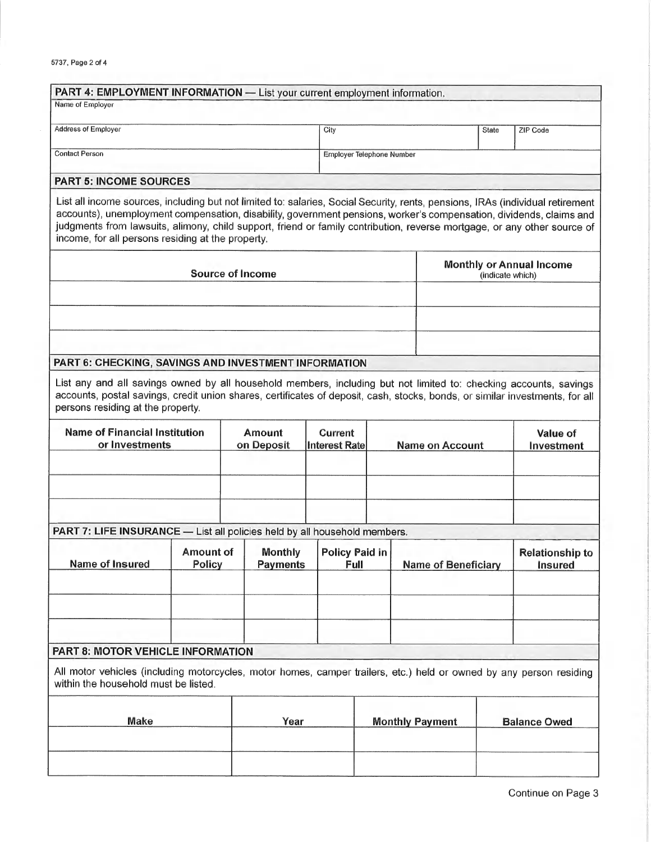| PART 4: EMPLOYMENT INFORMATION - List your current employment information.                                                                                                                                                                                                                                                                                                                                                             |                            |                                   |                                        |                                                     |                            |                     |                                   |  |
|----------------------------------------------------------------------------------------------------------------------------------------------------------------------------------------------------------------------------------------------------------------------------------------------------------------------------------------------------------------------------------------------------------------------------------------|----------------------------|-----------------------------------|----------------------------------------|-----------------------------------------------------|----------------------------|---------------------|-----------------------------------|--|
| Name of Employer                                                                                                                                                                                                                                                                                                                                                                                                                       |                            |                                   |                                        |                                                     |                            |                     |                                   |  |
| Address of Employer                                                                                                                                                                                                                                                                                                                                                                                                                    |                            | City                              |                                        |                                                     | State                      | ZIP Code            |                                   |  |
|                                                                                                                                                                                                                                                                                                                                                                                                                                        |                            |                                   |                                        |                                                     |                            |                     |                                   |  |
| <b>Contact Person</b>                                                                                                                                                                                                                                                                                                                                                                                                                  |                            |                                   |                                        | Employer Telephone Number                           |                            |                     |                                   |  |
| <b>PART 5: INCOME SOURCES</b>                                                                                                                                                                                                                                                                                                                                                                                                          |                            |                                   |                                        |                                                     |                            |                     |                                   |  |
| List all income sources, including but not limited to: salaries, Social Security, rents, pensions, IRAs (individual retirement<br>accounts), unemployment compensation, disability, government pensions, worker's compensation, dividends, claims and<br>judgments from lawsuits, alimony, child support, friend or family contribution, reverse mortgage, or any other source of<br>income, for all persons residing at the property. |                            |                                   |                                        |                                                     |                            |                     |                                   |  |
| <b>Source of Income</b>                                                                                                                                                                                                                                                                                                                                                                                                                |                            |                                   |                                        | <b>Monthly or Annual Income</b><br>(indicate which) |                            |                     |                                   |  |
|                                                                                                                                                                                                                                                                                                                                                                                                                                        |                            |                                   |                                        |                                                     |                            |                     |                                   |  |
|                                                                                                                                                                                                                                                                                                                                                                                                                                        |                            |                                   |                                        |                                                     |                            |                     |                                   |  |
|                                                                                                                                                                                                                                                                                                                                                                                                                                        |                            |                                   |                                        |                                                     |                            |                     |                                   |  |
|                                                                                                                                                                                                                                                                                                                                                                                                                                        |                            |                                   |                                        |                                                     |                            |                     |                                   |  |
| PART 6: CHECKING, SAVINGS AND INVESTMENT INFORMATION                                                                                                                                                                                                                                                                                                                                                                                   |                            |                                   |                                        |                                                     |                            |                     |                                   |  |
| List any and all savings owned by all household members, including but not limited to: checking accounts, savings<br>accounts, postal savings, credit union shares, certificates of deposit, cash, stocks, bonds, or similar investments, for all<br>persons residing at the property.                                                                                                                                                 |                            |                                   |                                        |                                                     |                            |                     |                                   |  |
| <b>Name of Financial Institution</b><br>or Investments                                                                                                                                                                                                                                                                                                                                                                                 |                            | <b>Amount</b><br>on Deposit       | <b>Current</b><br><b>Interest Rate</b> |                                                     | <b>Name on Account</b>     |                     | Value of<br>Investment            |  |
|                                                                                                                                                                                                                                                                                                                                                                                                                                        |                            |                                   |                                        |                                                     |                            |                     |                                   |  |
|                                                                                                                                                                                                                                                                                                                                                                                                                                        |                            |                                   |                                        |                                                     |                            |                     |                                   |  |
| PART 7: LIFE INSURANCE - List all policies held by all household members.                                                                                                                                                                                                                                                                                                                                                              |                            |                                   |                                        |                                                     |                            |                     |                                   |  |
| Name of Insured                                                                                                                                                                                                                                                                                                                                                                                                                        | Amount of<br><b>Policy</b> | <b>Monthly</b><br><b>Payments</b> | <b>Policy Paid in</b><br>Full          |                                                     | <b>Name of Beneficiary</b> |                     | <b>Relationship to</b><br>Insured |  |
|                                                                                                                                                                                                                                                                                                                                                                                                                                        |                            |                                   |                                        |                                                     |                            |                     |                                   |  |
|                                                                                                                                                                                                                                                                                                                                                                                                                                        |                            |                                   |                                        |                                                     |                            |                     |                                   |  |
| PART 8: MOTOR VEHICLE INFORMATION                                                                                                                                                                                                                                                                                                                                                                                                      |                            |                                   |                                        |                                                     |                            |                     |                                   |  |
| All motor vehicles (including motorcycles, motor homes, camper trailers, etc.) held or owned by any person residing<br>within the household must be listed.                                                                                                                                                                                                                                                                            |                            |                                   |                                        |                                                     |                            |                     |                                   |  |
| <b>Make</b>                                                                                                                                                                                                                                                                                                                                                                                                                            |                            | Year                              |                                        | <b>Monthly Payment</b>                              |                            | <b>Balance Owed</b> |                                   |  |
|                                                                                                                                                                                                                                                                                                                                                                                                                                        |                            |                                   |                                        |                                                     |                            |                     |                                   |  |
|                                                                                                                                                                                                                                                                                                                                                                                                                                        |                            |                                   |                                        |                                                     |                            |                     |                                   |  |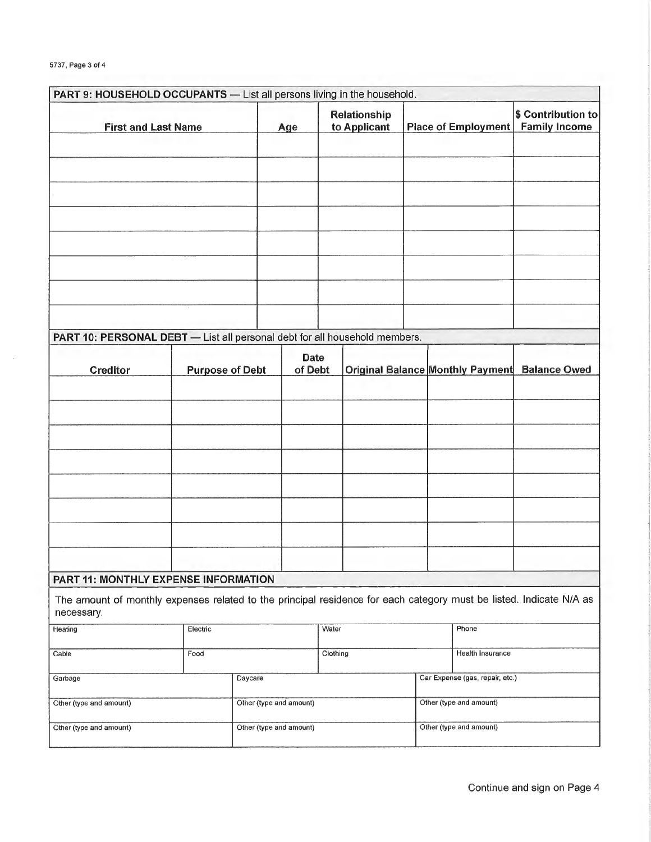| PART 9: HOUSEHOLD OCCUPANTS - List all persons living in the household.                                                           |                         |                         |                        |                              |                         |                                 |                     |  |                                               |
|-----------------------------------------------------------------------------------------------------------------------------------|-------------------------|-------------------------|------------------------|------------------------------|-------------------------|---------------------------------|---------------------|--|-----------------------------------------------|
| <b>First and Last Name</b>                                                                                                        |                         | Age                     |                        | Relationship<br>to Applicant |                         |                                 | Place of Employment |  | \$ Contribution to<br><b>Family Income</b>    |
|                                                                                                                                   |                         |                         |                        |                              |                         |                                 |                     |  |                                               |
|                                                                                                                                   |                         |                         |                        |                              |                         |                                 |                     |  |                                               |
|                                                                                                                                   |                         |                         |                        |                              |                         |                                 |                     |  |                                               |
|                                                                                                                                   |                         |                         |                        |                              |                         |                                 |                     |  |                                               |
|                                                                                                                                   |                         |                         |                        |                              |                         |                                 |                     |  |                                               |
|                                                                                                                                   |                         |                         |                        |                              |                         |                                 |                     |  |                                               |
|                                                                                                                                   |                         |                         |                        |                              |                         |                                 |                     |  |                                               |
|                                                                                                                                   |                         |                         |                        |                              |                         |                                 |                     |  |                                               |
|                                                                                                                                   |                         |                         |                        |                              |                         |                                 |                     |  |                                               |
|                                                                                                                                   |                         |                         |                        |                              |                         |                                 |                     |  |                                               |
| PART 10: PERSONAL DEBT - List all personal debt for all household members.                                                        |                         |                         |                        |                              |                         |                                 |                     |  |                                               |
| <b>Creditor</b>                                                                                                                   | <b>Purpose of Debt</b>  |                         | <b>Date</b><br>of Debt |                              |                         |                                 |                     |  | Original Balance Monthly Payment Balance Owed |
|                                                                                                                                   |                         |                         |                        |                              |                         |                                 |                     |  |                                               |
|                                                                                                                                   |                         |                         |                        |                              |                         |                                 |                     |  |                                               |
|                                                                                                                                   |                         |                         |                        |                              |                         |                                 |                     |  |                                               |
|                                                                                                                                   |                         |                         |                        |                              |                         |                                 |                     |  |                                               |
|                                                                                                                                   |                         |                         |                        |                              |                         |                                 |                     |  |                                               |
|                                                                                                                                   |                         |                         |                        |                              |                         |                                 |                     |  |                                               |
|                                                                                                                                   |                         |                         |                        |                              |                         |                                 |                     |  |                                               |
|                                                                                                                                   |                         |                         |                        |                              |                         |                                 |                     |  |                                               |
|                                                                                                                                   |                         |                         |                        |                              |                         |                                 |                     |  |                                               |
|                                                                                                                                   |                         |                         |                        |                              |                         |                                 |                     |  |                                               |
| PART 11: MONTHLY EXPENSE INFORMATION                                                                                              |                         |                         |                        |                              |                         |                                 |                     |  |                                               |
| The amount of monthly expenses related to the principal residence for each category must be listed. Indicate N/A as<br>necessary. |                         |                         |                        |                              |                         |                                 |                     |  |                                               |
| Heating                                                                                                                           | Electric                |                         |                        | Water                        |                         |                                 | Phone               |  |                                               |
| Cable                                                                                                                             | Food                    |                         |                        | Clothing                     |                         |                                 | Health Insurance    |  |                                               |
| Daycare<br>Garbage                                                                                                                |                         |                         |                        |                              |                         | Car Expense (gas, repair, etc.) |                     |  |                                               |
|                                                                                                                                   |                         |                         |                        |                              |                         |                                 |                     |  |                                               |
| Other (type and amount)                                                                                                           |                         | Other (type and amount) |                        |                              |                         | Other (type and amount)         |                     |  |                                               |
| Other (type and amount)                                                                                                           | Other (type and amount) |                         |                        |                              | Other (type and amount) |                                 |                     |  |                                               |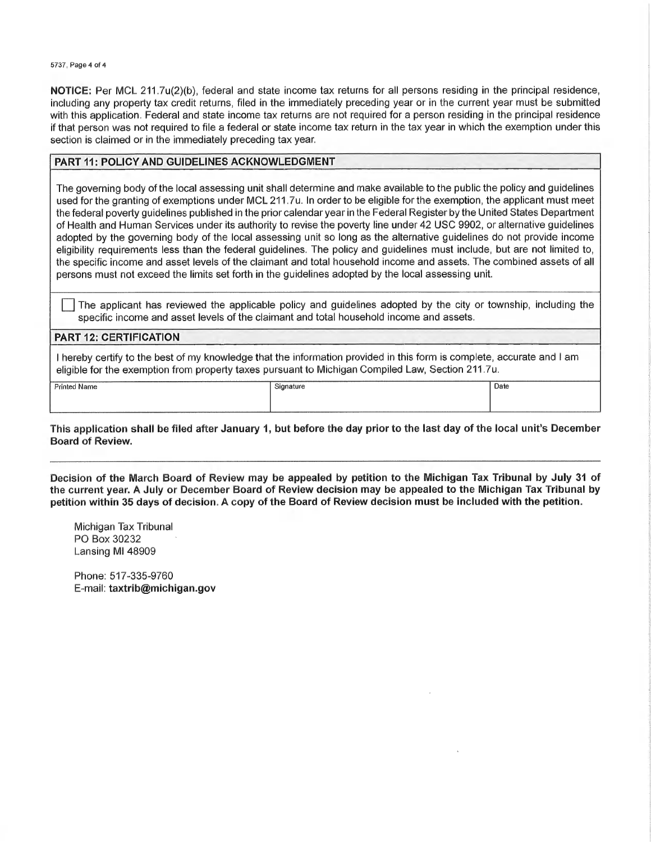5737, Page 4 of 4

NOTICE: Per MCL 211.7u(2)(b), federal and state income tax returns for all persons residing in the principal residence, including any property tax credit returns, filed in the immediately preceding year or in the current year must be submitted with this application. Federal and state income tax returns are not required for a person residing in the principal residence if that person was not required to file a federal or state income tax return in the tax year in which the exemption under this section is claimed or in the immediately preceding tax year.

#### **PART 11: POLICY AND GUIDELINES ACKNOWLEDGMENT**

The governing body of the local assessing unit shall determine and make available to the public the policy and guidelines used for the granting of exemptions under MCL 211.7u. In order to be eligible for the exemption, the applicant must meet the federal poverty guidelines published in the prior calendar year in the Federal Register by the United States Department of Health and Human Services under its authority to revise the poverty line under 42 USC 9902, or alternative quidelines adopted by the governing body of the local assessing unit so long as the alternative guidelines do not provide income eligibility requirements less than the federal guidelines. The policy and guidelines must include, but are not limited to, the specific income and asset levels of the claimant and total household income and assets. The combined assets of all persons must not exceed the limits set forth in the guidelines adopted by the local assessing unit.

The applicant has reviewed the applicable policy and guidelines adopted by the city or township, including the specific income and asset levels of the claimant and total household income and assets.

#### **PART 12: CERTIFICATION**

I hereby certify to the best of my knowledge that the information provided in this form is complete, accurate and I am eligible for the exemption from property taxes pursuant to Michigan Compiled Law, Section 211.7u.

**Printed Name** 

Signature

 $\overline{Date}$ 

This application shall be filed after January 1, but before the day prior to the last day of the local unit's December **Board of Review.** 

Decision of the March Board of Review may be appealed by petition to the Michigan Tax Tribunal by July 31 of the current year. A July or December Board of Review decision may be appealed to the Michigan Tax Tribunal by petition within 35 days of decision. A copy of the Board of Review decision must be included with the petition.

Michigan Tax Tribunal PO Box 30232 Lansing MI 48909

Phone: 517-335-9760 E-mail: taxtrib@michigan.gov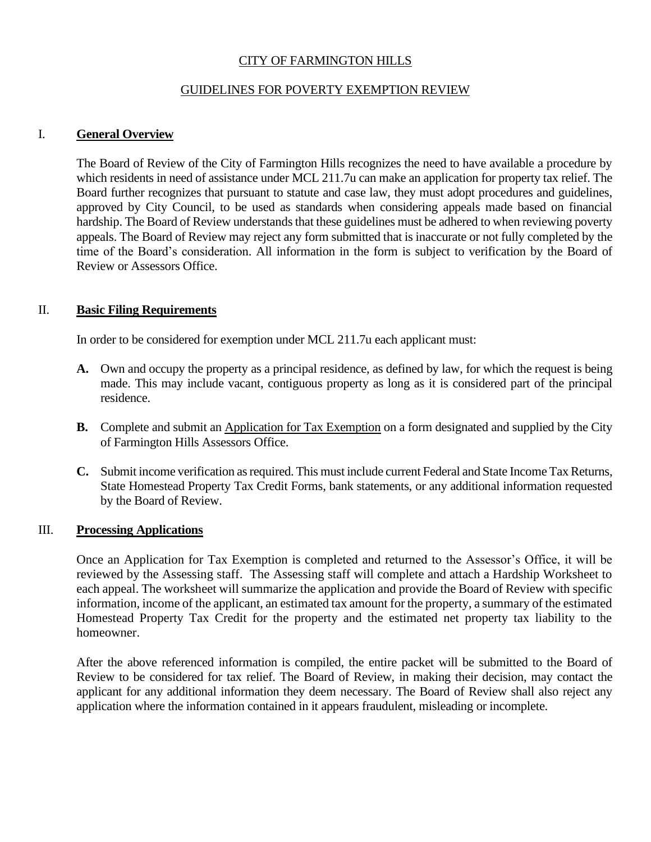## CITY OF FARMINGTON HILLS

## GUIDELINES FOR POVERTY EXEMPTION REVIEW

## I. **General Overview**

The Board of Review of the City of Farmington Hills recognizes the need to have available a procedure by which residents in need of assistance under MCL 211.7u can make an application for property tax relief. The Board further recognizes that pursuant to statute and case law, they must adopt procedures and guidelines, approved by City Council, to be used as standards when considering appeals made based on financial hardship. The Board of Review understands that these guidelines must be adhered to when reviewing poverty appeals. The Board of Review may reject any form submitted that is inaccurate or not fully completed by the time of the Board's consideration. All information in the form is subject to verification by the Board of Review or Assessors Office.

## II. **Basic Filing Requirements**

In order to be considered for exemption under MCL 211.7u each applicant must:

- **A.** Own and occupy the property as a principal residence, as defined by law, for which the request is being made. This may include vacant, contiguous property as long as it is considered part of the principal residence.
- **B.** Complete and submit an Application for Tax Exemption on a form designated and supplied by the City of Farmington Hills Assessors Office.
- **C.** Submit income verification as required. This must include current Federal and State Income Tax Returns, State Homestead Property Tax Credit Forms, bank statements, or any additional information requested by the Board of Review.

#### III. **Processing Applications**

Once an Application for Tax Exemption is completed and returned to the Assessor's Office, it will be reviewed by the Assessing staff. The Assessing staff will complete and attach a Hardship Worksheet to each appeal. The worksheet will summarize the application and provide the Board of Review with specific information, income of the applicant, an estimated tax amount for the property, a summary of the estimated Homestead Property Tax Credit for the property and the estimated net property tax liability to the homeowner.

After the above referenced information is compiled, the entire packet will be submitted to the Board of Review to be considered for tax relief. The Board of Review, in making their decision, may contact the applicant for any additional information they deem necessary. The Board of Review shall also reject any application where the information contained in it appears fraudulent, misleading or incomplete.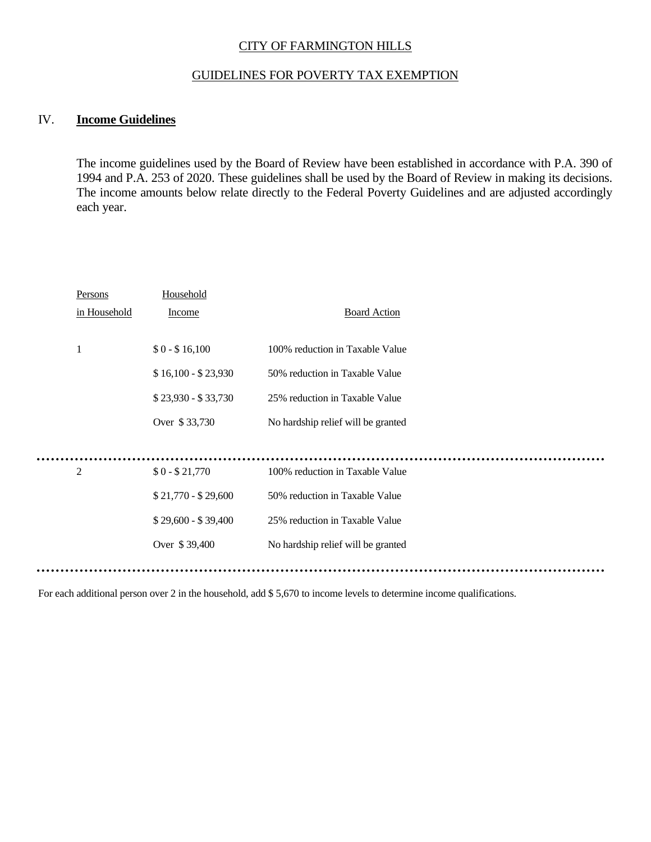## CITY OF FARMINGTON HILLS

## GUIDELINES FOR POVERTY TAX EXEMPTION

## IV. **Income Guidelines**

 $\bullet$   $\bullet$ 

 $\ddot{\phantom{a}}$ 

The income guidelines used by the Board of Review have been established in accordance with P.A. 390 of 1994 and P.A. 253 of 2020. These guidelines shall be used by the Board of Review in making its decisions. The income amounts below relate directly to the Federal Poverty Guidelines and are adjusted accordingly each year.

| Persons        | Household           |                                    |
|----------------|---------------------|------------------------------------|
| in Household   | <b>Income</b>       | <b>Board Action</b>                |
|                |                     |                                    |
| 1              | $$0 - $16,100$      | 100% reduction in Taxable Value    |
|                | $$16,100 - $23,930$ | 50% reduction in Taxable Value     |
|                | $$23,930 - $33,730$ | 25% reduction in Taxable Value     |
|                | Over \$33,730       | No hardship relief will be granted |
|                |                     |                                    |
| $\overline{2}$ | $$0 - $21,770$      | 100% reduction in Taxable Value    |
|                | $$21,770 - $29,600$ | 50% reduction in Taxable Value     |
|                | $$29,600 - $39,400$ | 25% reduction in Taxable Value     |
|                | Over \$39,400       | No hardship relief will be granted |
|                |                     |                                    |
|                |                     |                                    |

For each additional person over 2 in the household, add \$ 5,670 to income levels to determine income qualifications.